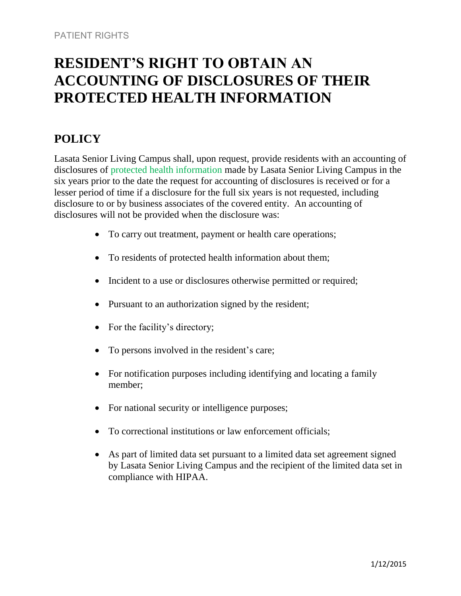# **RESIDENT'S RIGHT TO OBTAIN AN ACCOUNTING OF DISCLOSURES OF THEIR PROTECTED HEALTH INFORMATION**

## **POLICY**

Lasata Senior Living Campus shall, upon request, provide residents with an accounting of disclosures of protected health information made by Lasata Senior Living Campus in the six years prior to the date the request for accounting of disclosures is received or for a lesser period of time if a disclosure for the full six years is not requested, including disclosure to or by business associates of the covered entity. An accounting of disclosures will not be provided when the disclosure was:

- To carry out treatment, payment or health care operations;
- To residents of protected health information about them;
- Incident to a use or disclosures otherwise permitted or required;
- Pursuant to an authorization signed by the resident;
- For the facility's directory;
- To persons involved in the resident's care;
- For notification purposes including identifying and locating a family member;
- For national security or intelligence purposes;
- To correctional institutions or law enforcement officials;
- As part of limited data set pursuant to a limited data set agreement signed by Lasata Senior Living Campus and the recipient of the limited data set in compliance with HIPAA.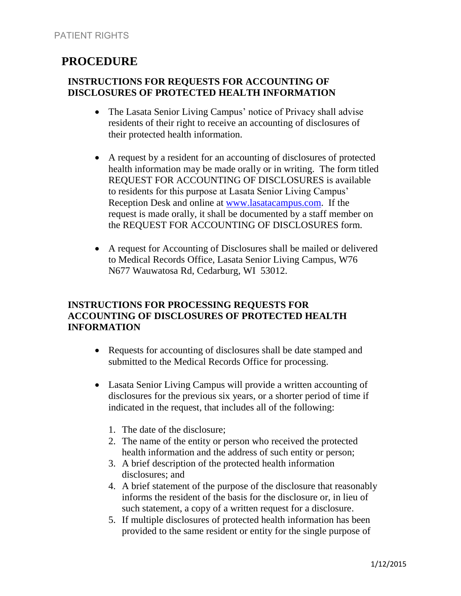## **PROCEDURE**

#### **INSTRUCTIONS FOR REQUESTS FOR ACCOUNTING OF DISCLOSURES OF PROTECTED HEALTH INFORMATION**

- The Lasata Senior Living Campus' notice of Privacy shall advise residents of their right to receive an accounting of disclosures of their protected health information.
- A request by a resident for an accounting of disclosures of protected health information may be made orally or in writing. The form titled REQUEST FOR ACCOUNTING OF DISCLOSURES is available to residents for this purpose at Lasata Senior Living Campus' Reception Desk and online at [www.lasatacampus.com.](http://www.lasatacampus.com/) If the request is made orally, it shall be documented by a staff member on the REQUEST FOR ACCOUNTING OF DISCLOSURES form.
- A request for Accounting of Disclosures shall be mailed or delivered to Medical Records Office, Lasata Senior Living Campus, W76 N677 Wauwatosa Rd, Cedarburg, WI 53012.

### **INSTRUCTIONS FOR PROCESSING REQUESTS FOR ACCOUNTING OF DISCLOSURES OF PROTECTED HEALTH INFORMATION**

- Requests for accounting of disclosures shall be date stamped and submitted to the Medical Records Office for processing.
- Lasata Senior Living Campus will provide a written accounting of disclosures for the previous six years, or a shorter period of time if indicated in the request, that includes all of the following:
	- 1. The date of the disclosure;
	- 2. The name of the entity or person who received the protected health information and the address of such entity or person;
	- 3. A brief description of the protected health information disclosures; and
	- 4. A brief statement of the purpose of the disclosure that reasonably informs the resident of the basis for the disclosure or, in lieu of such statement, a copy of a written request for a disclosure.
	- 5. If multiple disclosures of protected health information has been provided to the same resident or entity for the single purpose of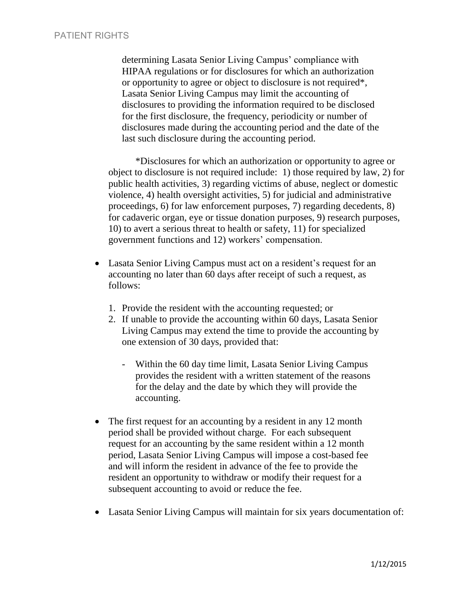determining Lasata Senior Living Campus' compliance with HIPAA regulations or for disclosures for which an authorization or opportunity to agree or object to disclosure is not required\*, Lasata Senior Living Campus may limit the accounting of disclosures to providing the information required to be disclosed for the first disclosure, the frequency, periodicity or number of disclosures made during the accounting period and the date of the last such disclosure during the accounting period.

\*Disclosures for which an authorization or opportunity to agree or object to disclosure is not required include: 1) those required by law, 2) for public health activities, 3) regarding victims of abuse, neglect or domestic violence, 4) health oversight activities, 5) for judicial and administrative proceedings, 6) for law enforcement purposes, 7) regarding decedents, 8) for cadaveric organ, eye or tissue donation purposes, 9) research purposes, 10) to avert a serious threat to health or safety, 11) for specialized government functions and 12) workers' compensation.

- Lasata Senior Living Campus must act on a resident's request for an accounting no later than 60 days after receipt of such a request, as follows:
	- 1. Provide the resident with the accounting requested; or
	- 2. If unable to provide the accounting within 60 days, Lasata Senior Living Campus may extend the time to provide the accounting by one extension of 30 days, provided that:
		- Within the 60 day time limit, Lasata Senior Living Campus provides the resident with a written statement of the reasons for the delay and the date by which they will provide the accounting.
- The first request for an accounting by a resident in any 12 month period shall be provided without charge. For each subsequent request for an accounting by the same resident within a 12 month period, Lasata Senior Living Campus will impose a cost-based fee and will inform the resident in advance of the fee to provide the resident an opportunity to withdraw or modify their request for a subsequent accounting to avoid or reduce the fee.
- Lasata Senior Living Campus will maintain for six years documentation of: